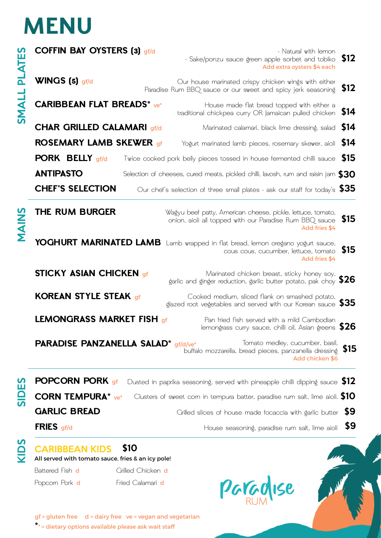# **MENU**

| <b>ATES</b><br>$\overline{\mathsf{a}}$<br><b>TIVNIS</b> | <b>COFFIN BAY OYSTERS (3) gf/d</b>                                          |      | - Natural with lemon<br>- Sake/ponzu sauce green apple sorbet and tobiko<br>Add extra oysters \$4 each                                  | \$12       |
|---------------------------------------------------------|-----------------------------------------------------------------------------|------|-----------------------------------------------------------------------------------------------------------------------------------------|------------|
|                                                         | WINGS (5) gf/d                                                              |      | Our house marinated crispy chicken wings with either<br>Paradise Rum BBQ sauce or our sweet and spicy jerk seasoning                    | \$12       |
|                                                         | <b>CARIBBEAN FLAT BREADS*</b> ve*                                           |      | House made flat bread topped with either a<br>traditional chickpea curry OR Jamaican pulled chicken                                     | \$14       |
|                                                         | <b>CHAR GRILLED CALAMARI gf/d</b>                                           |      | Marinated calamari, black lime dressing, salad                                                                                          | <b>S14</b> |
|                                                         | <b>ROSEMARY LAMB SKEWER gf</b>                                              |      | Yogurt marinated lamb pieces, rosemary skewer, aioli                                                                                    | <b>S14</b> |
|                                                         | <b>PORK BELLY gf/d</b>                                                      |      | Twice cooked pork belly pieces tossed in house fermented chilli sauce                                                                   | <b>S15</b> |
|                                                         | <b>ANTIPASTO</b>                                                            |      | Selection of cheeses, cured meats, pickled chilli, lavosh, rum and raisin jam $\$30$                                                    |            |
|                                                         | <b>CHEF'S SELECTION</b>                                                     |      | Our chef's selection of three small plates - ask our staff for today's $$35$                                                            |            |
| <b>SNIVAN</b>                                           | THE RUM BURGER                                                              |      | Wagyu beef patty, American cheese, pickle, lettuce, tomato,<br>onion, aioli all topped with our Paradise Rum BBQ sauce<br>Add fries \$4 | \$15       |
|                                                         |                                                                             |      | YOGHURT MARINATED LAMB Lamb wrapped in flat bread, lemon oregano yogurt sauce.<br>cous cous, cucumber, lettuce, tomato<br>Add fries \$4 | \$15       |
|                                                         | <b>STICKY ASIAN CHICKEN gf</b>                                              |      | Marinated chicken breast, sticky honey soy,<br>garlic and ginger reduction, garlic butter potato, pak choy $$26$                        |            |
|                                                         | <b>KOREAN STYLE STEAK of</b>                                                |      | Cooked medium, sliced flank on smashed potato,<br>glazed root vegetables and served with our Korean sauce $\$35$                        |            |
|                                                         | <b>LEMONGRASS MARKET FISH of</b>                                            |      | Pan fried fish served with a mild Cambodian<br>lemongrass curry sauce, chilli oil, Asian greens \$26                                    |            |
|                                                         | <b>PARADISE PANZANELLA SALAD*</b> gf/d/ve*                                  |      | Tomato medley, cucumber, basil,<br>buffalo mozzarella, bread pieces, panzanella dressing<br>Add chicken \$6                             | \$15       |
| SIDES                                                   | <b>POPCORN PORK</b> of                                                      |      | Dusted in paprika seasoning, served with pineapple chilli dipping sauce $$12$                                                           |            |
|                                                         | <b>CORN TEMPURA*</b> ve*                                                    |      | Clusters of sweet corn in tempura batter, paradise rum salt, lime aioli. <b>\$10</b>                                                    |            |
|                                                         | <b>GARLIC BREAD</b>                                                         |      | Crilled slices of house made focaccia with garlic butter                                                                                | - 59       |
|                                                         | <b>FRIES</b> $gf/d$                                                         |      | House seasoning, paradise rum salt, lime aioli                                                                                          | \$9        |
| Saly                                                    | <b>CARIBBEAN KIDS</b><br>All served with tomato sauce, fries & an icy pole! | \$10 |                                                                                                                                         |            |

Popcorn Pork **d** Fried Calamari **d** 

Battered Fish **d** Grilled Chicken **d** 

gf = gluten free d = dairy free ve = vegan and vegetarian **\***\* = dietary options available please ask wait staff

**AMAR**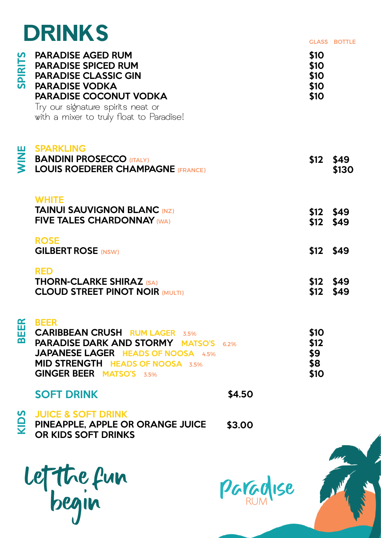## **DRINKS**

|                                   |                                                                                                                                                                                                                                  |        |                                      | <b>GLASS BOTTLE</b> |
|-----------------------------------|----------------------------------------------------------------------------------------------------------------------------------------------------------------------------------------------------------------------------------|--------|--------------------------------------|---------------------|
| <b>SPIRITS</b>                    | <b>PARADISE AGED RUM</b><br><b>PARADISE SPICED RUM</b><br><b>PARADISE CLASSIC GIN</b><br><b>PARADISE VODKA</b><br><b>PARADISE COCONUT VODKA</b><br>Try our signature spirits neat or<br>with a mixer to truly float to Paradise! |        | \$10<br>\$10<br>\$10<br>\$10<br>\$10 |                     |
| <b>NINE</b>                       | <b>SPARKLING</b><br><b>BANDINI PROSECCO (ITALY)</b><br><b>LOUIS ROEDERER CHAMPAGNE (FRANCE)</b>                                                                                                                                  |        | \$12                                 | \$49<br>\$130       |
|                                   | <b>WHITE</b><br><b>TAINUI SAUVIGNON BLANC (NZ)</b><br><b>FIVE TALES CHARDONNAY (WA)</b>                                                                                                                                          |        | $$12$ \$49<br>\$12                   | \$49                |
|                                   | <b>ROSE</b><br><b>GILBERT ROSE (NSW)</b>                                                                                                                                                                                         |        | $$12$ \$49                           |                     |
|                                   | <b>RED</b><br><b>THORN-CLARKE SHIRAZ (SA)</b><br><b>CLOUD STREET PINOT NOIR (MULTI)</b>                                                                                                                                          |        | \$12<br>\$12                         | \$49<br>\$49        |
| R<br>ш<br>$\overline{\mathbf{B}}$ | <b>BEER</b><br><b>CARIBBEAN CRUSH RUM LAGER 3.5%</b><br><b>PARADISE DARK AND STORMY MATSO'S 6.2%</b><br><b>JAPANESE LAGER HEADS OF NOOSA 4.5%</b><br><b>MID STRENGTH HEADS OF NOOSA 3.5%</b><br><b>GINGER BEER MATSO'S 3.5%</b>  |        | \$10<br>\$12<br>\$9<br>\$8<br>\$10   |                     |
|                                   | <b>SOFT DRINK</b>                                                                                                                                                                                                                | \$4.50 |                                      |                     |
| <b>KIDS</b>                       | <b>JUICE &amp; SOFT DRINK</b><br>PINEAPPLE, APPLE OR ORANGE JUICE<br>OR KIDS SOFT DRINKS                                                                                                                                         | \$3.00 |                                      |                     |
|                                   |                                                                                                                                                                                                                                  |        |                                      |                     |

Let The fun begin

Paradise

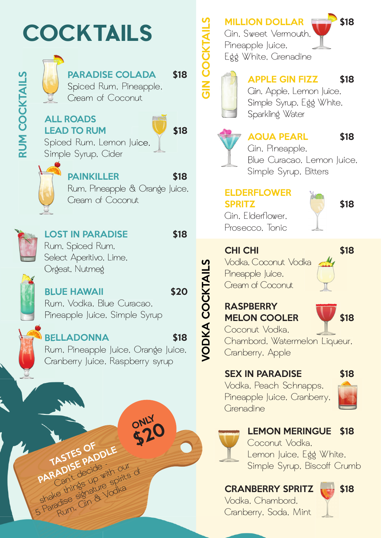# **COCKTAILS**



### PARADISE COLADA \$18 Spiced Rum, Pineapple,

Cream of Coconut

### ALL ROADS LEAD TO RUM 518



Spiced Rum, Lemon Juice, Simple Syrup, Cider



PAINKILLER \$18

 Rum, Pineapple & Orange Juice, Cream of Coconut



RUM COCKTAILS

**RUM COCKTAILS** 

LOST IN PARADISE \$18 Rum, Spiced Rum, Select Aperitivo, Lime, Orgeat, Nutmeg

BLUE HAWAII 520 Rum, Vodka, Blue Curacao, Pineapple Juice, Simple Syrup

TASTES OF DUE<br>PARADISE PADDLE

PARADISE decide with our of<br>Can't decide with our of<br>shake things up with our of<br>shakedise signature spirits of<br>5 Paradise signature

BELLADONNA \$18 Rum, Pineapple Juice, Orange Juice, Cranberry Juice, Raspberry syrup

**ONLY** 

MILLION DOLLAR **ELLECTR** \$18

Gin, Sweet Vermouth, Pineapple Juice, Egg White, Grenadine



GIN COCKTAILS

### APPLE GIN FIZZ \$18 Gin, Apple, Lemon Juice, Simple Syrup, Egg White, Sparkling Water



### AQUA PEARL \$18

 Gin, Pineapple, Blue Curacao, Lemon Juice, Simple Syrup, Bitters

### ELDERFLOWER SPRITZ S18 Gin, Flderflower,

Prosecco, Tonic

CHI CHI \$18

Vodka, Coconut Vodka Pineapple Juice, Cream of Coconut



### **RASPBERRY** MELON COOLER 518



### SEX IN PARADISE \$18

Vodka, Peach Schnapps, Pineapple Juice, Cranberry, *<u>Grenadine</u>* 





### LEMON MERINGUE \$18

Coconut Vodka, Lemon Juice, Egg White, Simple Syrup, Biscoff Crumb

### CRANBERRY SPRITZ 518

Vodka, Chambord, Cranberry, Soda, Mint





VODKA COCKTAILS

**JODKA COCKTAILS**